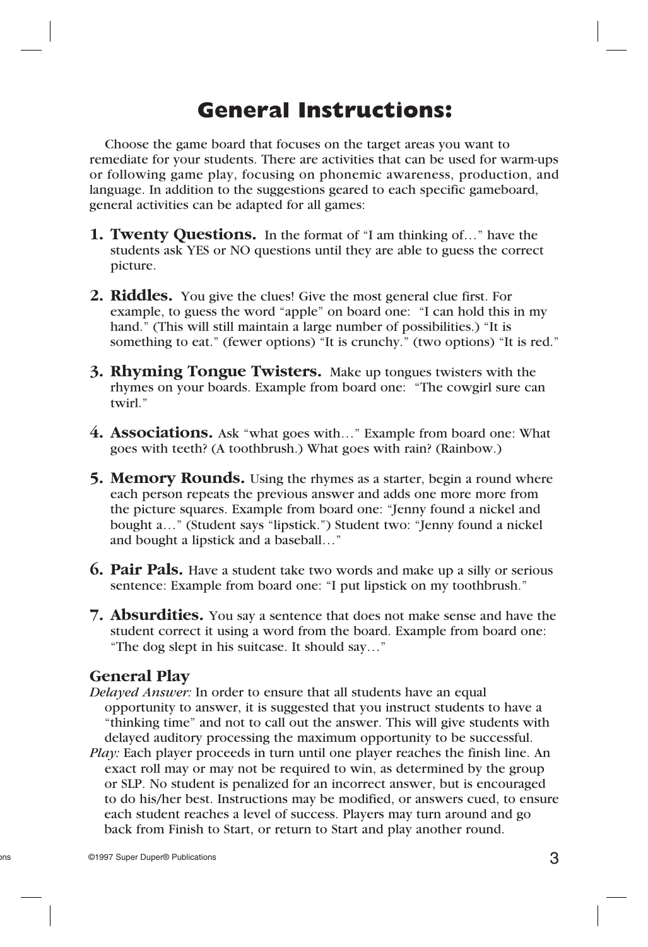## **General Instructions:**

 Choose the game board that focuses on the target areas you want to remediate for your students. There are activities that can be used for warm-ups or following game play, focusing on phonemic awareness, production, and language. In addition to the suggestions geared to each specific gameboard, general activities can be adapted for all games:

- **1. Twenty Questions.** In the format of "I am thinking of..." have the students ask YES or NO questions until they are able to guess the correct picture.
- **2. Riddles.** You give the clues! Give the most general clue first. For example, to guess the word "apple" on board one: "I can hold this in my hand." (This will still maintain a large number of possibilities.) "It is something to eat." (fewer options) "It is crunchy." (two options) "It is red."
- **3. Rhyming Tongue Twisters.** Make up tongues twisters with the rhymes on your boards. Example from board one: "The cowgirl sure can twirl."
- **4. Associations.** Ask "what goes with..." Example from board one: What goes with teeth? (A toothbrush.) What goes with rain? (Rainbow.)
- **5. Memory Rounds.** Using the rhymes as a starter, begin a round where each person repeats the previous answer and adds one more more from the picture squares. Example from board one: "Jenny found a nickel and bought a…" (Student says "lipstick.") Student two: "Jenny found a nickel and bought a lipstick and a baseball…"
- **6. Pair Pals.** Have a student take two words and make up a silly or serious sentence: Example from board one: "I put lipstick on my toothbrush."
- **7. Absurdities.** You say a sentence that does not make sense and have the student correct it using a word from the board. Example from board one: "The dog slept in his suitcase. It should say…"

## **General Play**

- *Delayed Answer:* In order to ensure that all students have an equal opportunity to answer, it is suggested that you instruct students to have a "thinking time" and not to call out the answer. This will give students with delayed auditory processing the maximum opportunity to be successful.
- *Play:* Each player proceeds in turn until one player reaches the finish line. An exact roll may or may not be required to win, as determined by the group or SLP. No student is penalized for an incorrect answer, but is encouraged to do his/her best. Instructions may be modified, or answers cued, to ensure each student reaches a level of success. Players may turn around and go back from Finish to Start, or return to Start and play another round.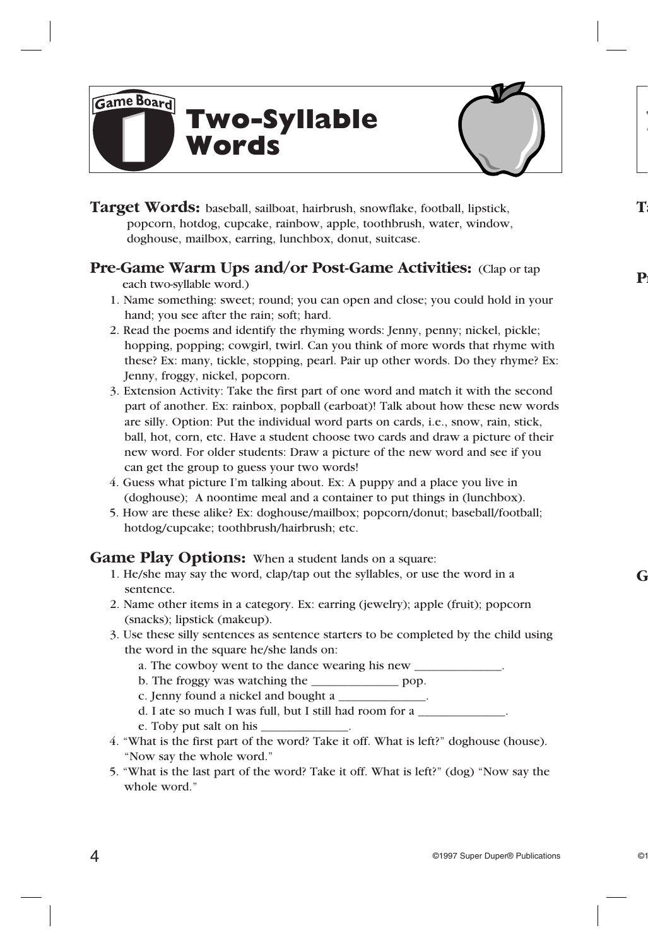**Two-Syllable Words**



**Target Words:** baseball, sailboat, hairbrush, snowflake, football, lipstick, popcorn, hotdog, cupcake, rainbow, apple, toothbrush, water, window, doghouse, mailbox, earring, lunchbox, donut, suitcase.

## **Pre-Game Warm Ups and/or Post-Game Activities:** (Clap or tap

each two-syllable word.)

Game Board

- 1. Name something: sweet; round; you can open and close; you could hold in your hand; you see after the rain; soft; hard.
- 2. Read the poems and identify the rhyming words: Jenny, penny; nickel, pickle; hopping, popping; cowgirl, twirl. Can you think of more words that rhyme with these? Ex: many, tickle, stopping, pearl. Pair up other words. Do they rhyme? Ex: Jenny, froggy, nickel, popcorn.
- 3. Extension Activity: Take the first part of one word and match it with the second part of another. Ex: rainbox, popball (earboat)! Talk about how these new words are silly. Option: Put the individual word parts on cards, i.e., snow, rain, stick, ball, hot, corn, etc. Have a student choose two cards and draw a picture of their new word. For older students: Draw a picture of the new word and see if you can get the group to guess your two words!
- 4. Guess what picture I'm talking about. Ex: A puppy and a place you live in (doghouse); A noontime meal and a container to put things in (lunchbox).
- 5. How are these alike? Ex: doghouse/mailbox; popcorn/donut; baseball/football; hotdog/cupcake; toothbrush/hairbrush; etc.

## **Game Play Options:** When a student lands on a square:

- 1. He/she may say the word, clap/tap out the syllables, or use the word in a sentence.
- 2. Name other items in a category. Ex: earring (jewelry); apple (fruit); popcorn (snacks); lipstick (makeup).
- 3. Use these silly sentences as sentence starters to be completed by the child using the word in the square he/she lands on:
	- a. The cowboy went to the dance wearing his new \_\_\_\_\_\_\_\_\_\_\_\_\_\_\_\_\_\_\_\_\_\_\_\_\_\_\_\_\_\_\_\_\_
	- b. The froggy was watching the \_\_\_\_\_\_\_\_\_\_\_\_\_\_ pop.
	- c. Jenny found a nickel and bought a \_\_\_\_\_\_\_\_\_\_\_\_\_\_.
	- d. I ate so much I was full, but I still had room for a
	- e. Toby put salt on his \_\_\_\_\_\_\_\_\_\_\_\_\_\_.
- 4. "What is the first part of the word? Take it off. What is left?" doghouse (house). "Now say the whole word."
- 5. "What is the last part of the word? Take it off. What is left?" (dog) "Now say the whole word."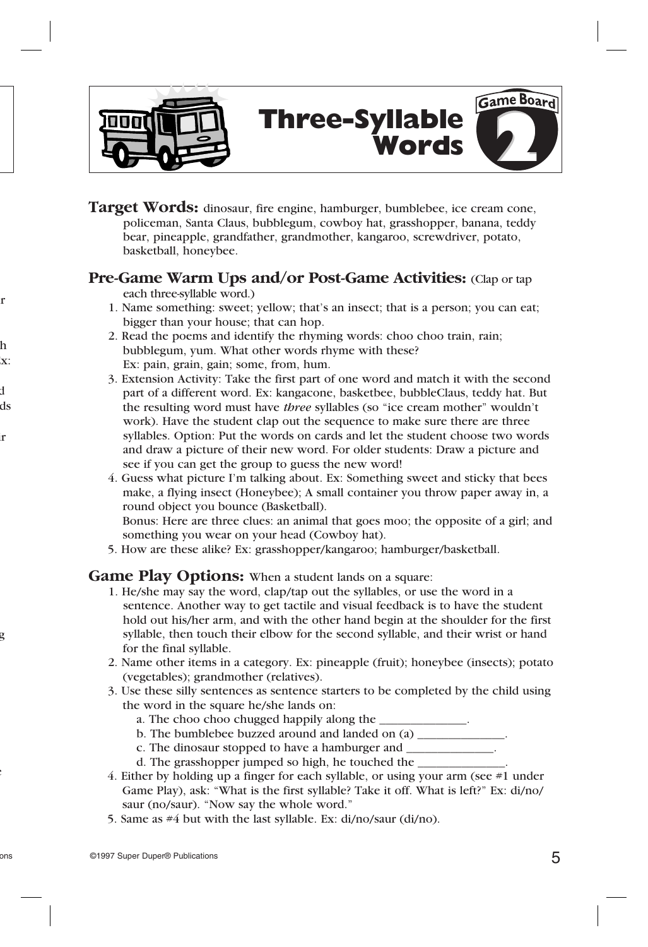

# **Three-Syllable Words**

Game Board



## **Pre-Game Warm Ups and/or Post-Game Activities:** (Clap or tap

each three-syllable word.)

- 1. Name something: sweet; yellow; that's an insect; that is a person; you can eat; bigger than your house; that can hop.
- 2. Read the poems and identify the rhyming words: choo choo train, rain; bubblegum, yum. What other words rhyme with these? Ex: pain, grain, gain; some, from, hum.
- 3. Extension Activity: Take the first part of one word and match it with the second part of a different word. Ex: kangacone, basketbee, bubbleClaus, teddy hat. But the resulting word must have *three* syllables (so "ice cream mother" wouldn't work). Have the student clap out the sequence to make sure there are three syllables. Option: Put the words on cards and let the student choose two words and draw a picture of their new word. For older students: Draw a picture and see if you can get the group to guess the new word!
- 4. Guess what picture I'm talking about. Ex: Something sweet and sticky that bees make, a flying insect (Honeybee); A small container you throw paper away in, a round object you bounce (Basketball).

 Bonus: Here are three clues: an animal that goes moo; the opposite of a girl; and something you wear on your head (Cowboy hat).

 5. How are these alike? Ex: grasshopper/kangaroo; hamburger/basketball.

#### **Game Play Options:** When a student lands on a square:

- 1. He/she may say the word, clap/tap out the syllables, or use the word in a sentence. Another way to get tactile and visual feedback is to have the student hold out his/her arm, and with the other hand begin at the shoulder for the first syllable, then touch their elbow for the second syllable, and their wrist or hand for the final syllable.
- 2. Name other items in a category. Ex: pineapple (fruit); honeybee (insects); potato (vegetables); grandmother (relatives).
- 3. Use these silly sentences as sentence starters to be completed by the child using the word in the square he/she lands on:
	- a. The choo choo chugged happily along the
	- b. The bumblebee buzzed around and landed on (a)
	- c. The dinosaur stopped to have a hamburger and
	- d. The grasshopper jumped so high, he touched the
- 4. Either by holding up a finger for each syllable, or using your arm (see #1 under Game Play), ask: "What is the first syllable? Take it off. What is left?" Ex: di/no/ saur (no/saur). "Now say the whole word."
- 5. Same as #4 but with the last syllable. Ex: di/no/saur (di/no).